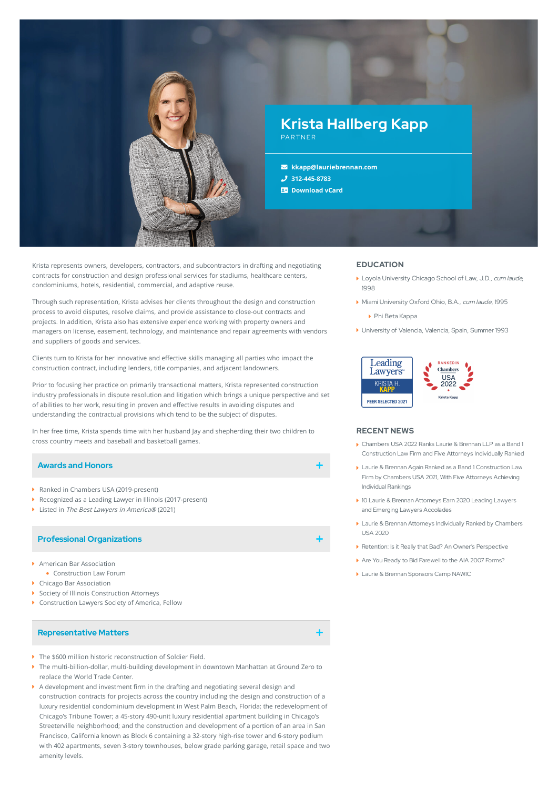

Krista represents owners, developers, contractors, and subcontractors in drafting and negotiating contracts for construction and design professional services for stadiums, healthcare centers, condominiums, hotels, residential, commercial, and adaptive reuse.

Through such representation, Krista advises her clients throughout the design and construction process to avoid disputes, resolve claims, and provide assistance to close-out contracts and projects. In addition, Krista also has extensive experience working with property owners and managers on license, easement, technology, and maintenance and repair agreements with vendors and suppliers of goods and services.

Clients turn to Krista for her innovative and effective skills managing all parties who impact the construction contract, including lenders, title companies, and adjacent landowners.

Prior to focusing her practice on primarily transactional matters, Krista represented construction industry professionals in dispute resolution and litigation which brings a unique perspective and set of abilities to her work, resulting in proven and effective results in avoiding disputes and understanding the contractual provisions which tend to be the subject of disputes.

In her free time, Krista spends time with her husband Jay and shepherding their two children to cross country meets and baseball and basketball games.

## **Awards and Honors**

- ▶ Ranked in Chambers USA (2019-present)
- Recognized as a Leading Lawyer in Illinois (2017-present)
- Listed in The Best Lawyers in America® (2021)

## **Professional Organizations**

- American Bar Association
- Construction Law Forum
- Chicago Bar Association
- ▶ Society of Illinois Construction Attorneys
- ▶ Construction Lawyers Society of America, Fellow

#### **Representative Matters**

- The \$600 million historic reconstruction of Soldier Field.
- The multi-billion-dollar, multi-building development in downtown Manhattan at Ground Zero to replace the World Trade Center.
- $\blacktriangleright$  A development and investment firm in the drafting and negotiating several design and construction contracts for projects across the country including the design and construction of a luxury residential condominium development in West Palm Beach, Florida; the redevelopment of Chicago's Tribune Tower; a 45-story 490-unit luxury residential apartment building in Chicago's Streeterville neighborhood; and the construction and development of a portion of an area in San Francisco, California known as Block 6 containing a 32-story high-rise tower and 6-story podium with 402 apartments, seven 3-story townhouses, below grade parking garage, retail space and two amenity levels.

## **EDUCATION**

- Loyola University Chicago School of Law, J.D., cum laude, 1998
- Miami University Oxford Ohio, B.A., cum laude, 1995
	- Phi Beta Kappa
- University of Valencia, Valencia, Spain, Summer 1993



#### **RECENT NEWS**

- Chambers USA 2022 Ranks Laurie & Brennan LLP as a Band 1 [Construction](https://www.lauriebrennan.com/blog/chambers-usa-2022-ranks-laurie-brennan-llp-as-a-band-1-construction-law-firm-and-five-attorneys-individually-ranked/) Law Firm and Five Attorneys Individually Ranked
- Laurie & Brennan Again Ranked as a Band 1 [Construction](https://www.lauriebrennan.com/blog/laurie-brennan-again-ranked-as-a-band-1-construction-law-firm-by-chambers-usa-2021-with-five-attorneys-achieving-individual-rankings/) Law Firm by Chambers USA 2021, With Five Attorneys Achieving Individual Rankings
- 10 Laurie & Brennan Attorneys Earn 2020 Leading Lawyers and Emerging Lawyers [Accolades](https://www.lauriebrennan.com/blog/ten-laurie-brennan-attorneys-earn-2020-leading-lawyers-and-emerging-lawyers-accolades/)
- Laurie & Brennan Attorneys [Individually](https://www.lauriebrennan.com/blog/laurie-brennan-attorneys-individually-ranked-by-chambers-usa-2020/) Ranked by Chambers USA 2020
- Retention: Is it Really that Bad? An Owner's [Perspective](https://www.lauriebrennan.com/blog/retention-is-it-really-that-bad-an-owners-perspective/)
- Are You Ready to Bid [Farewell](https://www.lauriebrennan.com/blog/are-you-ready-to-bid-farewell-to-the-aia-2007-forms/) to the AIA 2007 Forms?
- Laurie & Brennan [Sponsors](https://www.lauriebrennan.com/blog/laurie-brennan-sponsors-camp-nawic/) Camp NAWIC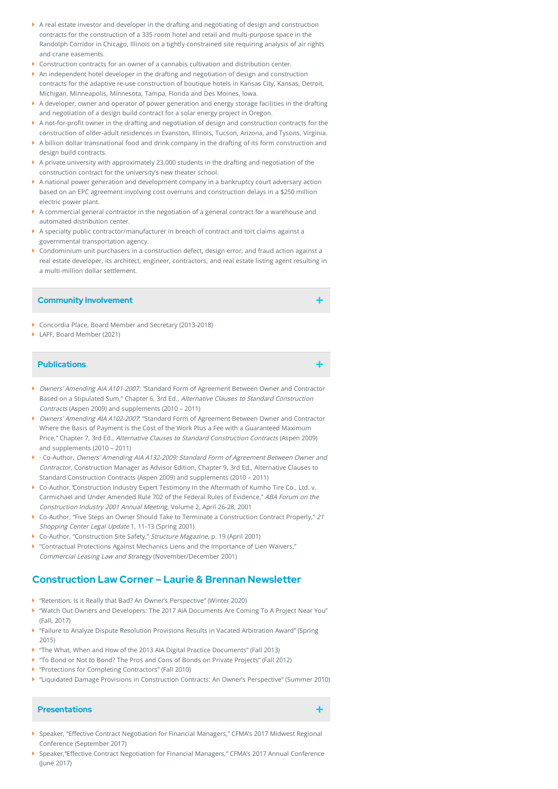- A real estate investor and developer in the drafting and negotiating of design and construction contracts for the construction of a 335 room hotel and retail and multi-purpose space in the Randolph Corridor in Chicago, Illinois on a tightly constrained site requiring analysis of air rights and crane easements.
- Construction contracts for an owner of a cannabis cultivation and distribution center.
- An independent hotel developer in the drafting and negotiation of design and construction contracts for the adaptive re-use construction of boutique hotels in Kansas City, Kansas, Detroit, Michigan. Minneapolis, Minnesota, Tampa, Florida and Des Moines, Iowa.
- A developer, owner and operator of power generation and energy storage facilities in the drafting and negotiation of a design build contract for a solar energy project in Oregon.
- $\blacktriangleright$  A not-for-profit owner in the drafting and negotiation of design and construction contracts for the construction of older-adult residences in Evanston, Illinois, Tucson, Arizona, and Tysons, Virginia.
- A billion dollar transnational food and drink company in the drafting of its form construction and design build contracts.
- A private university with approximately 23,000 students in the drafting and negotiation of the construction contract for the university's new theater school.
- A national power generation and development company in a bankruptcy court adversary action based on an EPC agreement involving cost overruns and construction delays in a \$250 million electric power plant.
- $\blacktriangleright$  A commercial general contractor in the negotiation of a general contract for a warehouse and automated distribution center.
- A specialty public contractor/manufacturer in breach of contract and tort claims against a governmental transportation agency.
- Condominium unit purchasers in a construction defect, design error, and fraud action against a real estate developer, its architect, engineer, contractors, and real estate listing agent resulting in a multi-million dollar settlement.

#### **Community Involvement**

- Concordia Place, Board Member and Secretary (2013-2018)
- ▶ LAFF, Board Member (2021)

## **Publications**

- Owners' Amending AIA A101-2007: 'Standard Form of Agreement Between Owner and Contractor Based on a Stipulated Sum," Chapter 6, 3rd Ed., Alternative Clauses to Standard Construction Contracts (Aspen 2009) and supplements (2010 – 2011)
- Owners' Amending AIA A102-2007: "Standard Form of Agreement Between Owner and Contractor Where the Basis of Payment is the Cost of the Work Plus a Fee with a Guaranteed Maximum Price," Chapter 7, 3rd Ed., Alternative Clauses to Standard Construction Contracts (Aspen 2009) and supplements (2010 – 2011)
- · Co-Author, Owners' Amending AIA A132-2009: Standard Form of Agreement Between Owner and Contractor, Construction Manager as Advisor Edition, Chapter 9, 3rd Ed., Alternative Clauses to Standard Construction Contracts (Aspen 2009) and supplements (2010 – 2011)
- Co-Author,"Construction Industry Expert Testimony In the Aftermath of Kumho Tire Co., Ltd. v. Carmichael and Under Amended Rule 702 of the Federal Rules of Evidence," ABA Forum on the Construction Industry 2001 Annual Meeting, Volume 2, April 26-28, 2001
- $\blacktriangleright$  Co-Author, "Five Steps an Owner Should Take to Terminate a Construction Contract Properly," 21 Shopping Center Legal Update 1, 11‑13 (Spring 2001)
- ▶ Co-Author, "Construction Site Safety," Structure Magazine, p. 19 (April 2001)
- **M** "Contractual Protections Against Mechanics Liens and the Importance of Lien Waivers," Commercial Leasing Law and Strategy (November/December 2001)

# **Construction Law Corner – Laurie & Brennan Newsletter**

- "Retention: Is it Really that Bad? An Owner's Perspective" (Winter 2020)
- "Watch Out Owners and Developers: The 2017 AIA Documents Are Coming To A Project Near You" (Fall, 2017)
- "Failure to Analyze Dispute Resolution Provisions Results in Vacated Arbitration Award" (Spring 2015)
- "The What, When and How of the 2013 AIA Digital Practice Documents" (Fall 2013)
- "To Bond or Not to Bond? The Pros and Cons of Bonds on Private Projects" (Fall 2012)
- ▶ "Protections for Completing Contractors" (Fall 2010)
- "Liquidated Damage Provisions in Construction Contracts: An Owner's Perspective" (Summer 2010)

#### **Presentations**

- Speaker, "Effective Contract Negotiation for Financial Managers," CFMA's 2017 Midwest Regional Conference (September 2017)
- ▶ Speaker,"Effective Contract Negotiation for Financial Managers," CFMA's 2017 Annual Conference (June 2017)